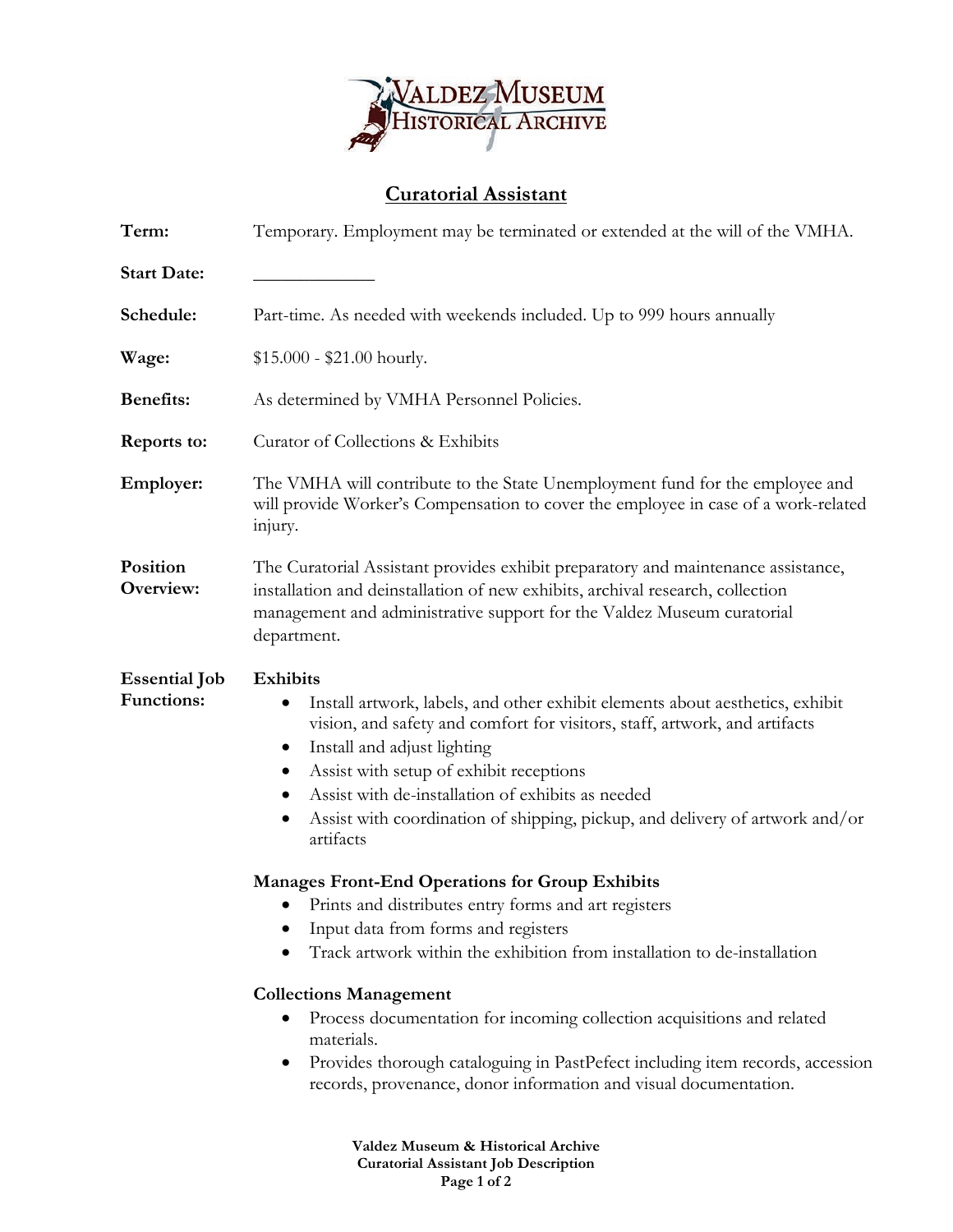

## **Curatorial Assistant**

| Term:                                     | Temporary. Employment may be terminated or extended at the will of the VMHA.                                                                                                                                                                                                                                                                                                                                                                                                                                                                                                                                                                                                                                                                                                                                                                                                                                                                                                                                             |  |  |
|-------------------------------------------|--------------------------------------------------------------------------------------------------------------------------------------------------------------------------------------------------------------------------------------------------------------------------------------------------------------------------------------------------------------------------------------------------------------------------------------------------------------------------------------------------------------------------------------------------------------------------------------------------------------------------------------------------------------------------------------------------------------------------------------------------------------------------------------------------------------------------------------------------------------------------------------------------------------------------------------------------------------------------------------------------------------------------|--|--|
| <b>Start Date:</b>                        |                                                                                                                                                                                                                                                                                                                                                                                                                                                                                                                                                                                                                                                                                                                                                                                                                                                                                                                                                                                                                          |  |  |
| Schedule:                                 | Part-time. As needed with weekends included. Up to 999 hours annually                                                                                                                                                                                                                                                                                                                                                                                                                                                                                                                                                                                                                                                                                                                                                                                                                                                                                                                                                    |  |  |
| Wage:                                     | $$15.000 - $21.00$ hourly.                                                                                                                                                                                                                                                                                                                                                                                                                                                                                                                                                                                                                                                                                                                                                                                                                                                                                                                                                                                               |  |  |
| <b>Benefits:</b>                          | As determined by VMHA Personnel Policies.                                                                                                                                                                                                                                                                                                                                                                                                                                                                                                                                                                                                                                                                                                                                                                                                                                                                                                                                                                                |  |  |
| Reports to:                               | Curator of Collections & Exhibits                                                                                                                                                                                                                                                                                                                                                                                                                                                                                                                                                                                                                                                                                                                                                                                                                                                                                                                                                                                        |  |  |
| Employer:                                 | The VMHA will contribute to the State Unemployment fund for the employee and<br>will provide Worker's Compensation to cover the employee in case of a work-related<br>injury.                                                                                                                                                                                                                                                                                                                                                                                                                                                                                                                                                                                                                                                                                                                                                                                                                                            |  |  |
| Position<br>Overview:                     | The Curatorial Assistant provides exhibit preparatory and maintenance assistance,<br>installation and deinstallation of new exhibits, archival research, collection<br>management and administrative support for the Valdez Museum curatorial<br>department.                                                                                                                                                                                                                                                                                                                                                                                                                                                                                                                                                                                                                                                                                                                                                             |  |  |
| <b>Essential Job</b><br><b>Functions:</b> | <b>Exhibits</b><br>Install artwork, labels, and other exhibit elements about aesthetics, exhibit<br>$\bullet$<br>vision, and safety and comfort for visitors, staff, artwork, and artifacts<br>Install and adjust lighting<br>$\bullet$<br>Assist with setup of exhibit receptions<br>$\bullet$<br>Assist with de-installation of exhibits as needed<br>$\bullet$<br>Assist with coordination of shipping, pickup, and delivery of artwork and/or<br>$\bullet$<br>artifacts<br><b>Manages Front-End Operations for Group Exhibits</b><br>Prints and distributes entry forms and art registers<br>$\bullet$<br>Input data from forms and registers<br>Track artwork within the exhibition from installation to de-installation<br><b>Collections Management</b><br>Process documentation for incoming collection acquisitions and related<br>materials.<br>Provides thorough cataloguing in PastPefect including item records, accession<br>$\bullet$<br>records, provenance, donor information and visual documentation. |  |  |

**Valdez Museum & Historical Archive Curatorial Assistant Job Description Page 1 of 2**